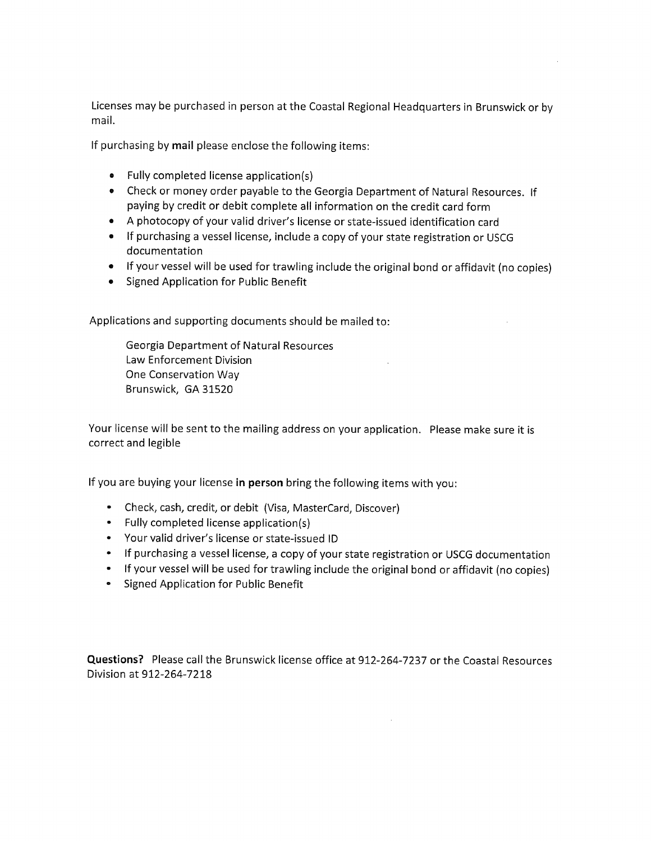Licenses may be purchased in person at the Coastal Regional Headquarters in Brunswick or by mail.

If purchasing by mail please enclose the following items:

- Fully completed license application(s)
- Check or money order payable to the Georgia Department of Natural Resources. If paying by credit or debit complete all information on the credit card form
- A photocopy of your valid driver's license or state-issued identification card
- If purchasing a vessel license, include a copy of your state registration or USCG documentation
- If your vessel will be used for trawling include the original bond or affidavit (no copies)
- Signed Application for Public Benefit

Applications and supporting documents should be mailed to:

**Georgia Department of Natural Resources** Law Enforcement Division One Conservation Way Brunswick, GA 31520

Your license will be sent to the mailing address on your application. Please make sure it is correct and legible

If you are buying your license in person bring the following items with you:

- Check, cash, credit, or debit (Visa, MasterCard, Discover)
- Fully completed license application(s)
- Your valid driver's license or state-issued ID
- If purchasing a vessel license, a copy of your state registration or USCG documentation
- If your vessel will be used for trawling include the original bond or affidavit (no copies)
- Signed Application for Public Benefit

Questions? Please call the Brunswick license office at 912-264-7237 or the Coastal Resources Division at 912-264-7218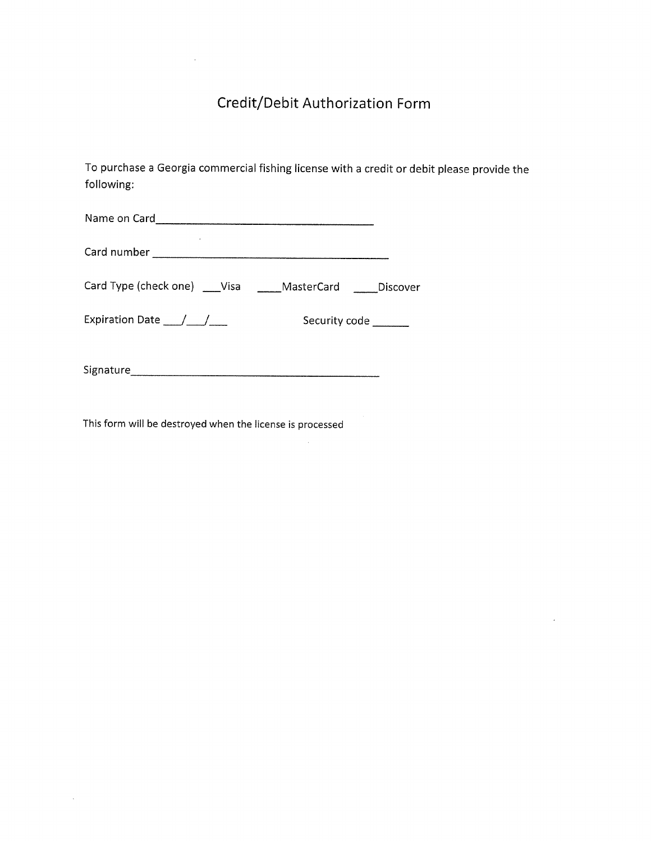# Credit/Debit Authorization Form

To purchase a Georgia commercial fishing license with a credit or debit please provide the following:

 $\sim$   $\sim$ 

 $\bar{\mathcal{A}}$ 

|                                      | Card Type (check one) ___Visa _____MasterCard _____Discover |
|--------------------------------------|-------------------------------------------------------------|
| Expiration Date $\frac{1}{\sqrt{2}}$ | Security code ______                                        |
| Signature                            |                                                             |

This form will be destroyed when the license is processed

 $\sim$ 

 $\bar{z}$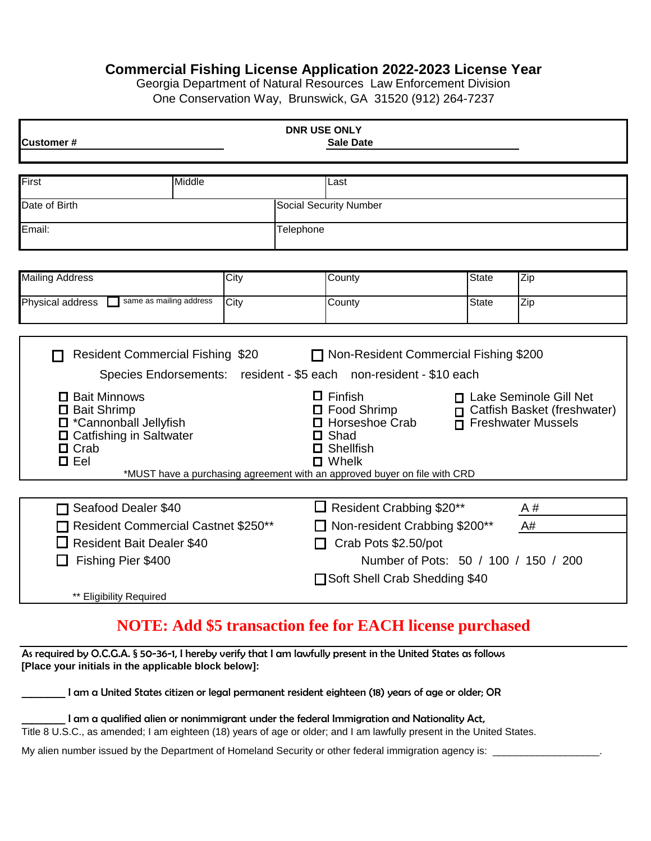### **Commercial Fishing License Application 2022-2023 License Year**

Georgia Department of Natural Resources Law Enforcement Division One Conservation Way, Brunswick, GA 31520 (912) 264-7237

| <b>Customer#</b>                                                                                                        |        |      | <b>DNR USE ONLY</b>                                          | <b>Sale Date</b>                                                                                                                                                         |                         |                                                                                      |
|-------------------------------------------------------------------------------------------------------------------------|--------|------|--------------------------------------------------------------|--------------------------------------------------------------------------------------------------------------------------------------------------------------------------|-------------------------|--------------------------------------------------------------------------------------|
| First                                                                                                                   | Middle |      |                                                              | Last                                                                                                                                                                     |                         |                                                                                      |
| Date of Birth                                                                                                           |        |      |                                                              | <b>Social Security Number</b>                                                                                                                                            |                         |                                                                                      |
| Email:                                                                                                                  |        |      | Telephone                                                    |                                                                                                                                                                          |                         |                                                                                      |
|                                                                                                                         |        |      |                                                              |                                                                                                                                                                          |                         |                                                                                      |
| <b>Mailing Address</b>                                                                                                  |        | City |                                                              | County                                                                                                                                                                   | <b>State</b>            | Zip                                                                                  |
| same as mailing address<br>Physical address                                                                             |        | City |                                                              | County                                                                                                                                                                   | <b>State</b>            | Zip                                                                                  |
|                                                                                                                         |        |      |                                                              |                                                                                                                                                                          |                         |                                                                                      |
| <b>Resident Commercial Fishing \$20</b>                                                                                 |        |      |                                                              | □ Non-Resident Commercial Fishing \$200                                                                                                                                  |                         |                                                                                      |
|                                                                                                                         |        |      |                                                              | Species Endorsements: resident - \$5 each non-resident - \$10 each                                                                                                       |                         |                                                                                      |
| □ Bait Minnows<br>□ Bait Shrimp<br>□ *Cannonball Jellyfish<br>□ Catfishing in Saltwater<br>$\Box$ Crab<br>$\square$ Eel |        |      |                                                              | $\Box$ Finfish<br>$\Box$ Food Shrimp<br>Horseshoe Crab<br>Shad<br>Shellfish<br>$\Box$ Whelk<br>*MUST have a purchasing agreement with an approved buyer on file with CRD | $\mathbf{\mathsf{\Pi}}$ | □ Lake Seminole Gill Net<br>Catfish Basket (freshwater)<br><b>Freshwater Mussels</b> |
|                                                                                                                         |        |      |                                                              |                                                                                                                                                                          |                         |                                                                                      |
| Seafood Dealer \$40                                                                                                     |        |      |                                                              | $\Box$ Resident Crabbing \$20**                                                                                                                                          |                         | A#                                                                                   |
| <b>Resident Commercial Castnet \$250**</b>                                                                              |        |      | Non-resident Crabbing \$200**<br>A#                          |                                                                                                                                                                          |                         |                                                                                      |
| <b>Resident Bait Dealer \$40</b>                                                                                        |        |      | Crab Pots \$2.50/pot<br>Number of Pots: 50 / 100 / 150 / 200 |                                                                                                                                                                          |                         |                                                                                      |
| Fishing Pier \$400                                                                                                      |        |      |                                                              | □ Soft Shell Crab Shedding \$40                                                                                                                                          |                         |                                                                                      |
| ** Eligibility Required                                                                                                 |        |      |                                                              |                                                                                                                                                                          |                         |                                                                                      |

## **NOTE: Add \$5 transaction fee for EACH license purchased**

As required by O.C.G.A. § 50-36-1, I hereby verify that I am lawfully present in the United States as follows **[Place your initials in the applicable block below]:**

\_\_\_\_\_\_\_\_\_ I am a United States citizen or legal permanent resident eighteen (18) years of age or older; OR

| I am a qualified alien or nonimmigrant under the federal Immigration and Nationality Act,                             |
|-----------------------------------------------------------------------------------------------------------------------|
| Title 8 U.S.C., as amended; I am eighteen (18) years of age or older; and I am lawfully present in the United States. |

My alien number issued by the Department of Homeland Security or other federal immigration agency is: \_\_\_\_\_\_\_\_\_\_\_\_\_\_\_\_\_\_\_.